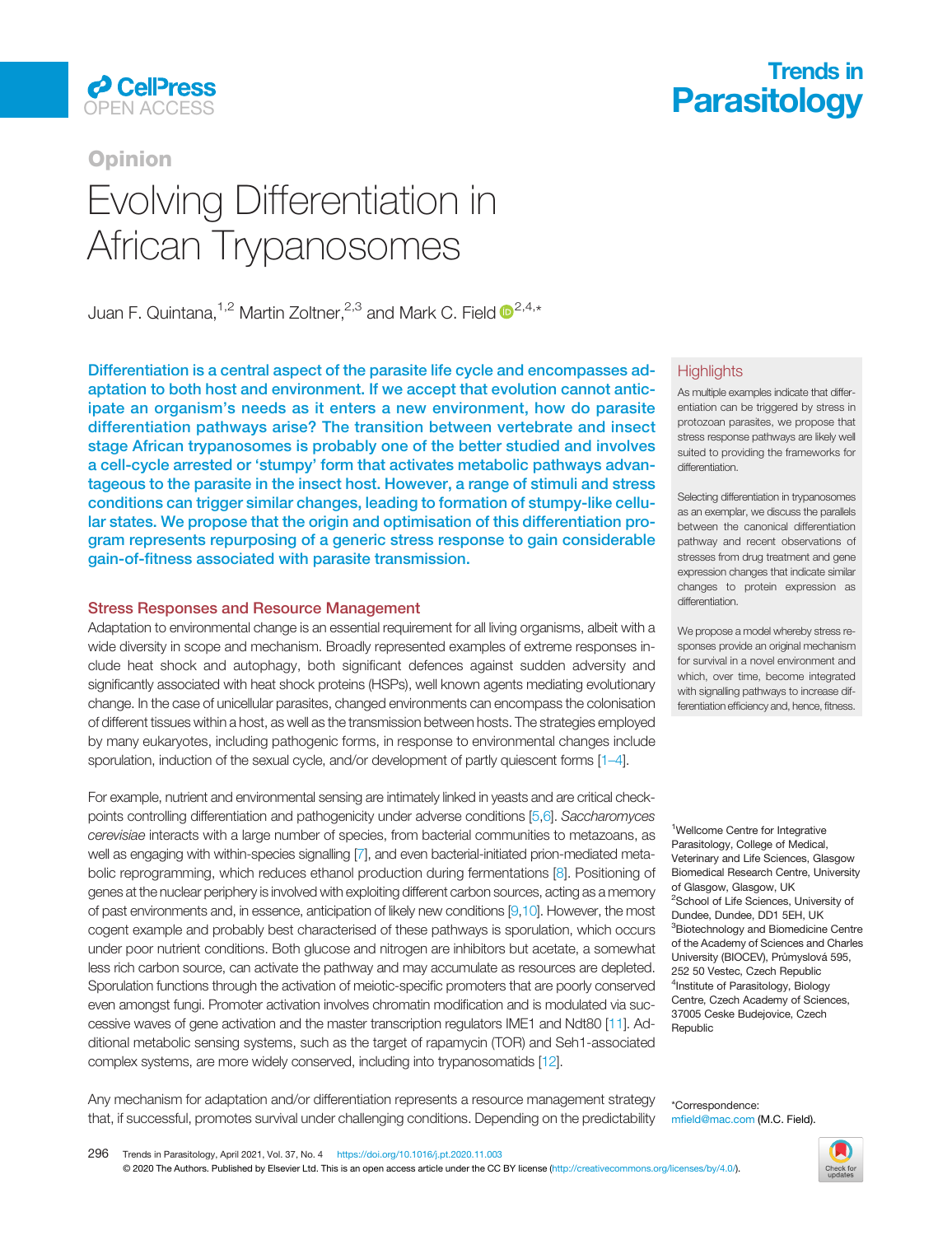

## **Opinion**

# African Trynanosomes  $\frac{1}{2}$

Juan F. Quintana, <sup>1,2</sup> Martin Zoltner, <sup>2,3</sup> and Mark C. Field  $\mathbb{D}^{2,4,*}$ 

Differentiation is a central aspect of the parasite life cycle and encompasses adaptation to both host and environment. If we accept that evolution cannot anticipate an organism's needs as it enters a new environment, how do parasite differentiation pathways arise? The transition between vertebrate and insect stage African trypanosomes is probably one of the better studied and involves a cell-cycle arrested or 'stumpy' form that activates metabolic pathways advantageous to the parasite in the insect host. However, a range of stimuli and stress conditions can trigger similar changes, leading to formation of stumpy-like cellular states. We propose that the origin and optimisation of this differentiation program represents repurposing of a generic stress response to gain considerable gain-of-fitness associated with parasite transmission.

## Stress Responses and Resource Management

Adaptation to environmental change is an essential requirement for all living organisms, albeit with a wide diversity in scope and mechanism. Broadly represented examples of extreme responses include heat shock and autophagy, both significant defences against sudden adversity and significantly associated with heat shock proteins (HSPs), well known agents mediating evolutionary change. In the case of unicellular parasites, changed environments can encompass the colonisation of different tissues within a host, as well as the transmission between hosts. The strategies employed by many eukaryotes, including pathogenic forms, in response to environmental changes include sporulation, induction of the sexual cycle, and/or development of partly quiescent forms [1-[4\]](#page-6-0).

For example, nutrient and environmental sensing are intimately linked in yeasts and are critical checkpoints controlling differentiation and pathogenicity under adverse conditions [\[5,6](#page-6-0)]. Saccharomyces cerevisiae interacts with a large number of species, from bacterial communities to metazoans, as well as engaging with within-species signalling [\[7](#page-6-0)], and even bacterial-initiated prion-mediated metabolic reprogramming, which reduces ethanol production during fermentations [[8](#page-6-0)]. Positioning of genes at the nuclear periphery is involved with exploiting different carbon sources, acting as a memory of past environments and, in essence, anticipation of likely new conditions [[9,10](#page-6-0)]. However, the most cogent example and probably best characterised of these pathways is sporulation, which occurs under poor nutrient conditions. Both glucose and nitrogen are inhibitors but acetate, a somewhat less rich carbon source, can activate the pathway and may accumulate as resources are depleted. Sporulation functions through the activation of meiotic-specific promoters that are poorly conserved even amongst fungi. Promoter activation involves chromatin modification and is modulated via successive waves of gene activation and the master transcription regulators IME1 and Ndt80 [[11](#page-6-0)]. Additional metabolic sensing systems, such as the target of rapamycin (TOR) and Seh1-associated complex systems, are more widely conserved, including into trypanosomatids [\[12\]](#page-6-0).

## Trends in **CellPress Parasitology**<br>OPEN ACCESS

#### **Highlights**

As multiple examples indicate that differentiation can be triggered by stress in protozoan parasites, we propose that stress response pathways are likely well suited to providing the frameworks for differentiation.

Selecting differentiation in trypanosomes as an exemplar, we discuss the parallels between the canonical differentiation pathway and recent observations of stresses from drug treatment and gene expression changes that indicate similar changes to protein expression as differentiation.

We propose a model whereby stress responses provide an original mechanism for survival in a novel environment and which, over time, become integrated with signalling pathways to increase differentiation efficiency and, hence, fitness.

<sup>1</sup>Wellcome Centre for Integrative Parasitology, College of Medical, Veterinary and Life Sciences, Glasgow Biomedical Research Centre, University of Glasgow, Glasgow, UK <sup>2</sup>School of Life Sciences, University of Dundee, Dundee, DD1 5EH, UK <sup>3</sup>Biotechnology and Biomedicine Centre of the Academy of Sciences and Charles University (BIOCEV), Průmyslová 595, 252 50 Vestec, Czech Republic 4 Institute of Parasitology, Biology Centre, Czech Academy of Sciences, 37005 Ceske Budejovice, Czech **Republic** 

Any mechanism for adaptation and/or differentiation represents a resource management strategy that, if successful, promotes survival under challenging conditions. Depending on the predictability

\*Correspondence: mfield@mac.com (M.C. Field).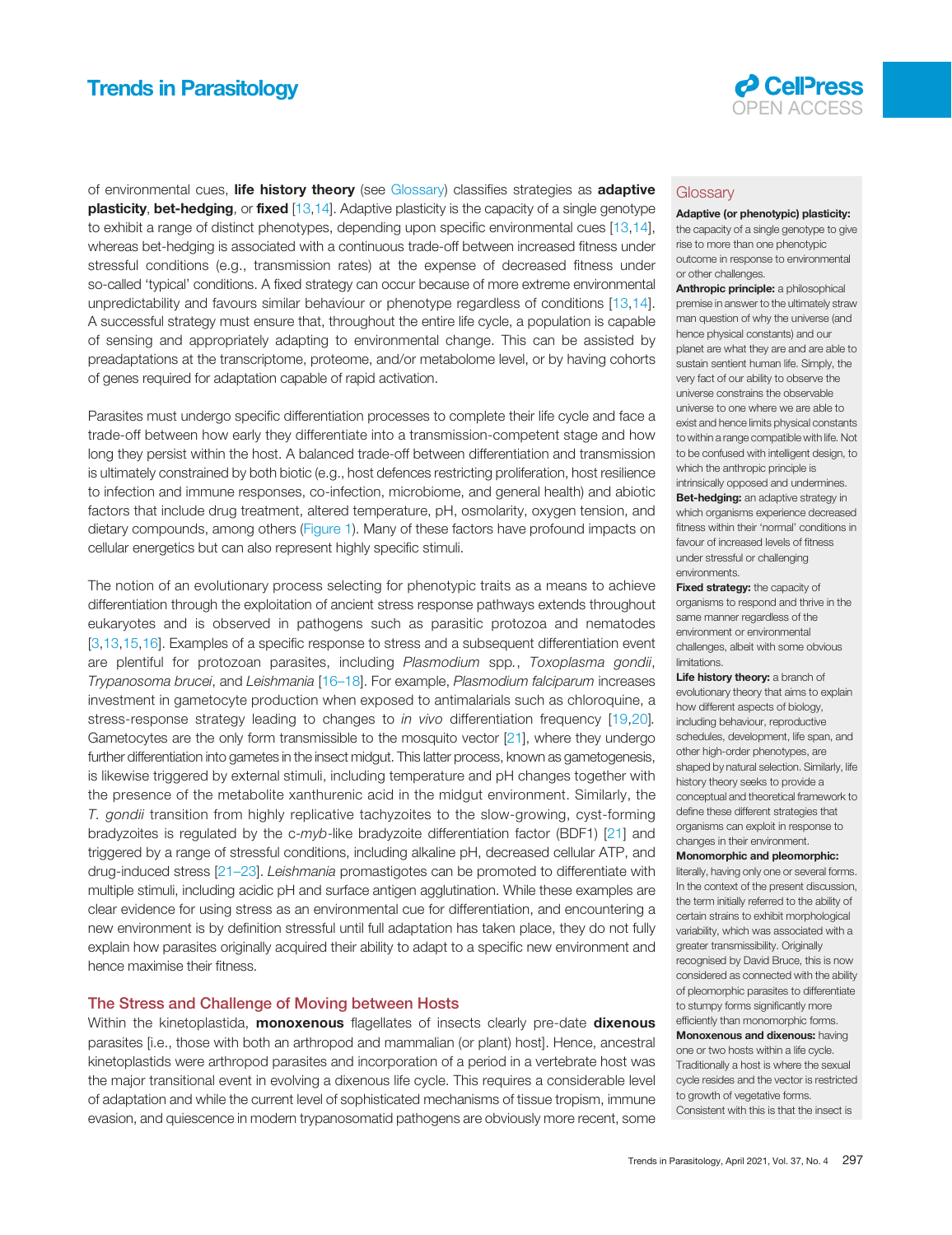

of environmental cues, life history theory (see Glossary) classifies strategies as adaptive **plasticity, bet-hedging,** or **fixed** [\[13,14\]](#page-6-0). Adaptive plasticity is the capacity of a single genotype to exhibit a range of distinct phenotypes, depending upon specific environmental cues [[13](#page-6-0),[14\]](#page-6-0), whereas bet-hedging is associated with a continuous trade-off between increased fitness under stressful conditions (e.g., transmission rates) at the expense of decreased fitness under so-called 'typical' conditions. A fixed strategy can occur because of more extreme environmental unpredictability and favours similar behaviour or phenotype regardless of conditions [\[13](#page-6-0),[14\]](#page-6-0). A successful strategy must ensure that, throughout the entire life cycle, a population is capable of sensing and appropriately adapting to environmental change. This can be assisted by preadaptations at the transcriptome, proteome, and/or metabolome level, or by having cohorts of genes required for adaptation capable of rapid activation.

Parasites must undergo specific differentiation processes to complete their life cycle and face a trade-off between how early they differentiate into a transmission-competent stage and how long they persist within the host. A balanced trade-off between differentiation and transmission is ultimately constrained by both biotic (e.g., host defences restricting proliferation, host resilience to infection and immune responses, co-infection, microbiome, and general health) and abiotic factors that include drug treatment, altered temperature, pH, osmolarity, oxygen tension, and dietary compounds, among others [\(Figure 1](#page-3-0)). Many of these factors have profound impacts on cellular energetics but can also represent highly specific stimuli.

The notion of an evolutionary process selecting for phenotypic traits as a means to achieve differentiation through the exploitation of ancient stress response pathways extends throughout eukaryotes and is observed in pathogens such as parasitic protozoa and nematodes [[3,13](#page-6-0),[15,16](#page-6-0)]. Examples of a specific response to stress and a subsequent differentiation event are plentiful for protozoan parasites, including Plasmodium spp., Toxoplasma gondii, Trypanosoma brucei, and Leishmania [[16](#page-6-0)-18]. For example, Plasmodium falciparum increases investment in gametocyte production when exposed to antimalarials such as chloroquine, a stress-response strategy leading to changes to *in vivo* differentiation frequency [[19,20\]](#page-6-0). Gametocytes are the only form transmissible to the mosquito vector [\[21](#page-6-0)], where they undergo further differentiation into gametes in the insect midgut. This latter process, known as gametogenesis, is likewise triggered by external stimuli, including temperature and pH changes together with the presence of the metabolite xanthurenic acid in the midgut environment. Similarly, the T. gondii transition from highly replicative tachyzoites to the slow-growing, cyst-forming bradyzoites is regulated by the  $c$ -myb-like bradyzoite differentiation factor (BDF1) [[21\]](#page-6-0) and triggered by a range of stressful conditions, including alkaline pH, decreased cellular ATP, and drug-induced stress [21–[23\]](#page-6-0). Leishmania promastigotes can be promoted to differentiate with multiple stimuli, including acidic pH and surface antigen agglutination. While these examples are clear evidence for using stress as an environmental cue for differentiation, and encountering a new environment is by definition stressful until full adaptation has taken place, they do not fully explain how parasites originally acquired their ability to adapt to a specific new environment and hence maximise their fitness.

#### The Stress and Challenge of Moving between Hosts

Within the kinetoplastida, **monoxenous** flagellates of insects clearly pre-date **dixenous** parasites [i.e., those with both an arthropod and mammalian (or plant) host]. Hence, ancestral kinetoplastids were arthropod parasites and incorporation of a period in a vertebrate host was the major transitional event in evolving a dixenous life cycle. This requires a considerable level of adaptation and while the current level of sophisticated mechanisms of tissue tropism, immune evasion, and quiescence in modern trypanosomatid pathogens are obviously more recent, some

#### **Glossary**

Adaptive (or phenotypic) plasticity: the capacity of a single genotype to give rise to more than one phenotypic outcome in response to environmental or other challenges.

Anthropic principle: a philosophical premise in answer to the ultimately straw man question of why the universe (and hence physical constants) and our planet are what they are and are able to sustain sentient human life. Simply, the very fact of our ability to observe the universe constrains the observable universe to one where we are able to exist and hence limits physical constants to within a range compatible with life. Not to be confused with intelligent design, to which the anthropic principle is intrinsically opposed and undermines. Bet-hedging: an adaptive strategy in which organisms experience decreased fitness within their 'normal' conditions in favour of increased levels of fitness under stressful or challenging environments.

Fixed strategy: the capacity of organisms to respond and thrive in the same manner regardless of the environment or environmental challenges, albeit with some obvious limitations.

Life history theory: a branch of evolutionary theory that aims to explain how different aspects of biology, including behaviour, reproductive schedules, development, life span, and other high-order phenotypes, are shaped by natural selection. Similarly, life history theory seeks to provide a conceptual and theoretical framework to define these different strategies that organisms can exploit in response to changes in their environment.

#### Monomorphic and pleomorphic:

literally, having only one or several forms. In the context of the present discussion, the term initially referred to the ability of certain strains to exhibit morphological variability, which was associated with a greater transmissibility. Originally recognised by David Bruce, this is now considered as connected with the ability of pleomorphic parasites to differentiate to stumpy forms significantly more efficiently than monomorphic forms.

**Monoxenous and dixenous: having** one or two hosts within a life cycle. Traditionally a host is where the sexual cycle resides and the vector is restricted to growth of vegetative forms. Consistent with this is that the insect is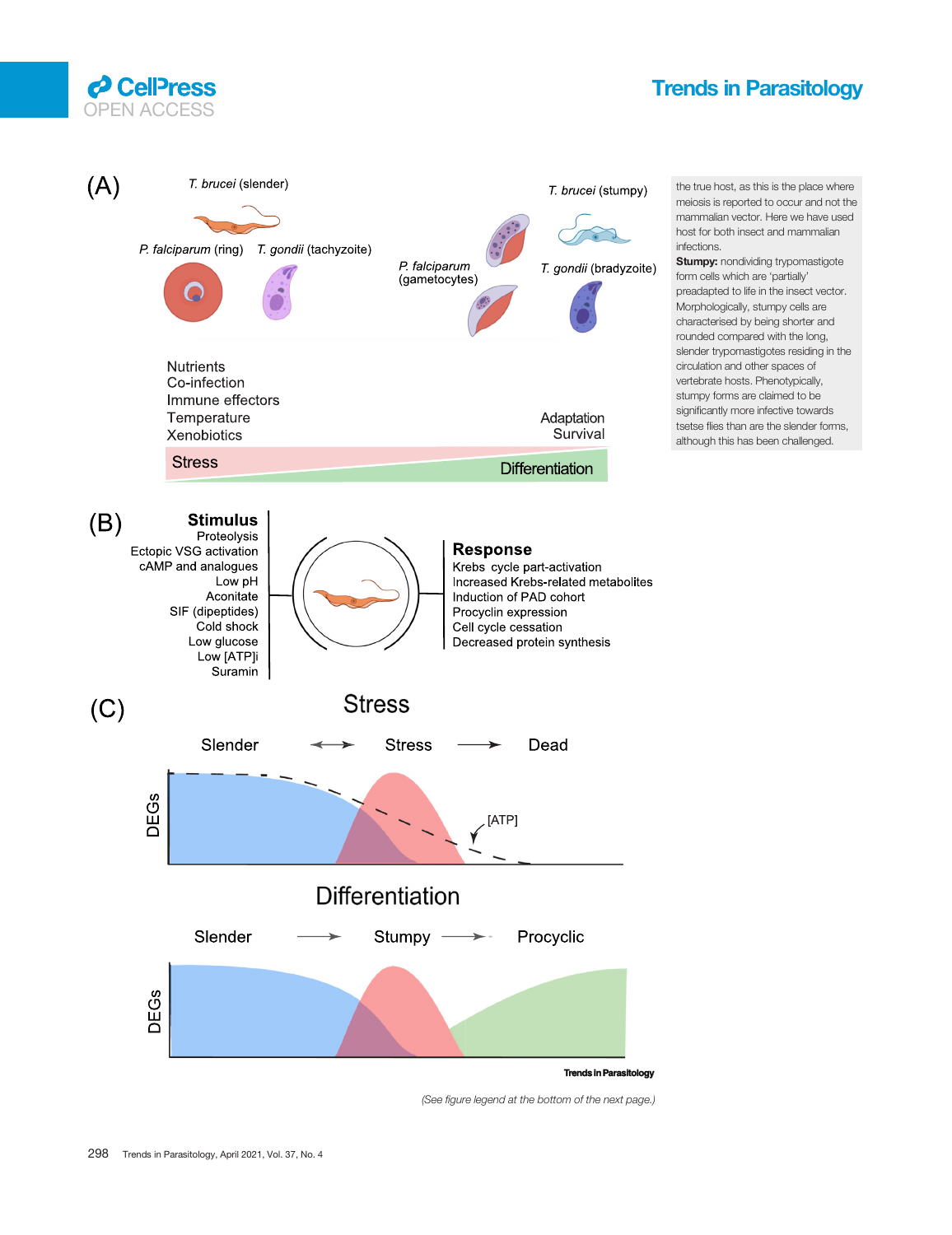



(See figure legend at the bottom of the next page.)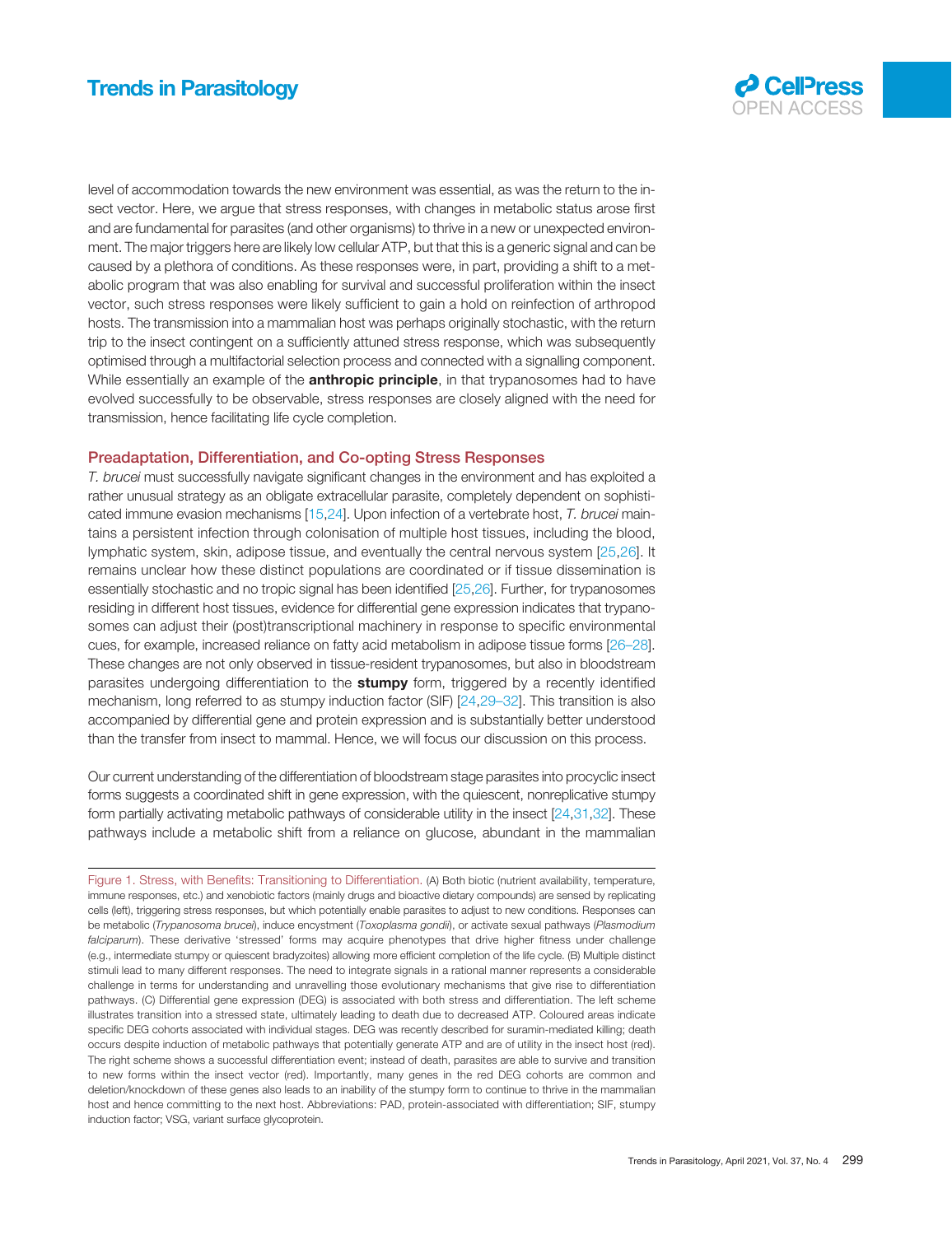

<span id="page-3-0"></span>level of accommodation towards the new environment was essential, as was the return to the insect vector. Here, we argue that stress responses, with changes in metabolic status arose first and are fundamental for parasites (and other organisms) to thrive in a new or unexpected environment. The major triggers here are likely low cellular ATP, but that this is a generic signal and can be caused by a plethora of conditions. As these responses were, in part, providing a shift to a metabolic program that was also enabling for survival and successful proliferation within the insect vector, such stress responses were likely sufficient to gain a hold on reinfection of arthropod hosts. The transmission into a mammalian host was perhaps originally stochastic, with the return trip to the insect contingent on a sufficiently attuned stress response, which was subsequently optimised through a multifactorial selection process and connected with a signalling component. While essentially an example of the **anthropic principle**, in that trypanosomes had to have evolved successfully to be observable, stress responses are closely aligned with the need for transmission, hence facilitating life cycle completion.

## Preadaptation, Differentiation, and Co-opting Stress Responses

T. brucei must successfully navigate significant changes in the environment and has exploited a rather unusual strategy as an obligate extracellular parasite, completely dependent on sophisti-cated immune evasion mechanisms [\[15](#page-6-0),[24](#page-6-0)]. Upon infection of a vertebrate host, T. brucei maintains a persistent infection through colonisation of multiple host tissues, including the blood, lymphatic system, skin, adipose tissue, and eventually the central nervous system [\[25,](#page-6-0)[26](#page-7-0)]. It remains unclear how these distinct populations are coordinated or if tissue dissemination is essentially stochastic and no tropic signal has been identified [[25](#page-6-0),[26\]](#page-7-0). Further, for trypanosomes residing in different host tissues, evidence for differential gene expression indicates that trypanosomes can adjust their (post)transcriptional machinery in response to specific environmental cues, for example, increased reliance on fatty acid metabolism in adipose tissue forms [26–[28\]](#page-7-0). These changes are not only observed in tissue-resident trypanosomes, but also in bloodstream parasites undergoing differentiation to the **stumpy** form, triggered by a recently identified mechanism, long referred to as stumpy induction factor (SIF) [[24](#page-6-0)[,29](#page-7-0)–32]. This transition is also accompanied by differential gene and protein expression and is substantially better understood than the transfer from insect to mammal. Hence, we will focus our discussion on this process.

Our current understanding of the differentiation of bloodstream stage parasites into procyclic insect forms suggests a coordinated shift in gene expression, with the quiescent, nonreplicative stumpy form partially activating metabolic pathways of considerable utility in the insect [\[24](#page-6-0),[31](#page-7-0),[32\]](#page-7-0). These pathways include a metabolic shift from a reliance on glucose, abundant in the mammalian

Figure 1. Stress, with Benefits: Transitioning to Differentiation. (A) Both biotic (nutrient availability, temperature, immune responses, etc.) and xenobiotic factors (mainly drugs and bioactive dietary compounds) are sensed by replicating cells (left), triggering stress responses, but which potentially enable parasites to adjust to new conditions. Responses can be metabolic (Trypanosoma brucei), induce encystment (Toxoplasma gondii), or activate sexual pathways (Plasmodium falciparum). These derivative 'stressed' forms may acquire phenotypes that drive higher fitness under challenge (e.g., intermediate stumpy or quiescent bradyzoites) allowing more efficient completion of the life cycle. (B) Multiple distinct stimuli lead to many different responses. The need to integrate signals in a rational manner represents a considerable challenge in terms for understanding and unravelling those evolutionary mechanisms that give rise to differentiation pathways. (C) Differential gene expression (DEG) is associated with both stress and differentiation. The left scheme illustrates transition into a stressed state, ultimately leading to death due to decreased ATP. Coloured areas indicate specific DEG cohorts associated with individual stages. DEG was recently described for suramin-mediated killing; death occurs despite induction of metabolic pathways that potentially generate ATP and are of utility in the insect host (red). The right scheme shows a successful differentiation event; instead of death, parasites are able to survive and transition to new forms within the insect vector (red). Importantly, many genes in the red DEG cohorts are common and deletion/knockdown of these genes also leads to an inability of the stumpy form to continue to thrive in the mammalian host and hence committing to the next host. Abbreviations: PAD, protein-associated with differentiation; SIF, stumpy induction factor; VSG, variant surface glycoprotein.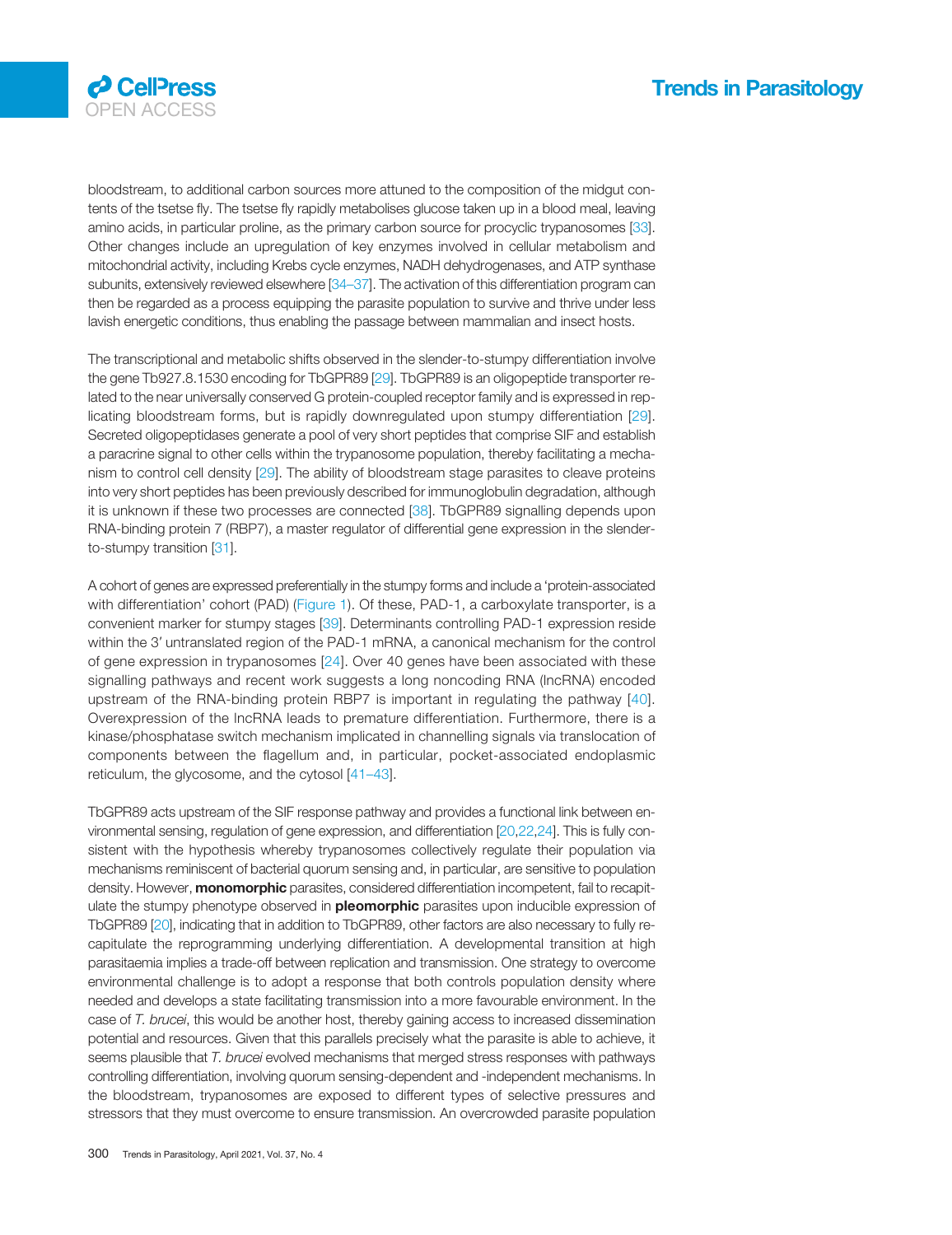

bloodstream, to additional carbon sources more attuned to the composition of the midgut contents of the tsetse fly. The tsetse fly rapidly metabolises glucose taken up in a blood meal, leaving amino acids, in particular proline, as the primary carbon source for procyclic trypanosomes [\[33\]](#page-7-0). Other changes include an upregulation of key enzymes involved in cellular metabolism and mitochondrial activity, including Krebs cycle enzymes, NADH dehydrogenases, and ATP synthase subunits, extensively reviewed elsewhere [\[34](#page-7-0)–37]. The activation of this differentiation program can then be regarded as a process equipping the parasite population to survive and thrive under less lavish energetic conditions, thus enabling the passage between mammalian and insect hosts.

The transcriptional and metabolic shifts observed in the slender-to-stumpy differentiation involve the gene Tb927.8.1530 encoding for TbGPR89 [\[29](#page-7-0)]. TbGPR89 is an oligopeptide transporter related to the near universally conserved G protein-coupled receptor family and is expressed in replicating bloodstream forms, but is rapidly downregulated upon stumpy differentiation [[29\]](#page-7-0). Secreted oligopeptidases generate a pool of very short peptides that comprise SIF and establish a paracrine signal to other cells within the trypanosome population, thereby facilitating a mechanism to control cell density [\[29](#page-7-0)]. The ability of bloodstream stage parasites to cleave proteins into very short peptides has been previously described for immunoglobulin degradation, although it is unknown if these two processes are connected [\[38\]](#page-7-0). TbGPR89 signalling depends upon RNA-binding protein 7 (RBP7), a master regulator of differential gene expression in the slenderto-stumpy transition [\[31\]](#page-7-0).

A cohort of genes are expressed preferentially in the stumpy forms and include a 'protein-associated with differentiation' cohort (PAD) [\(Figure 1](#page-3-0)). Of these, PAD-1, a carboxylate transporter, is a convenient marker for stumpy stages [[39\]](#page-7-0). Determinants controlling PAD-1 expression reside within the 3' untranslated region of the PAD-1 mRNA, a canonical mechanism for the control of gene expression in trypanosomes [[24\]](#page-6-0). Over 40 genes have been associated with these signalling pathways and recent work suggests a long noncoding RNA (lncRNA) encoded upstream of the RNA-binding protein RBP7 is important in regulating the pathway [[40\]](#page-7-0). Overexpression of the lncRNA leads to premature differentiation. Furthermore, there is a kinase/phosphatase switch mechanism implicated in channelling signals via translocation of components between the flagellum and, in particular, pocket-associated endoplasmic reticulum, the glycosome, and the cytosol [41–[43\]](#page-7-0).

TbGPR89 acts upstream of the SIF response pathway and provides a functional link between environmental sensing, regulation of gene expression, and differentiation [[20](#page-6-0),[22](#page-6-0),[24](#page-6-0)]. This is fully consistent with the hypothesis whereby trypanosomes collectively regulate their population via mechanisms reminiscent of bacterial quorum sensing and, in particular, are sensitive to population density. However, **monomorphic** parasites, considered differentiation incompetent, fail to recapitulate the stumpy phenotype observed in **pleomorphic** parasites upon inducible expression of TbGPR89 [[20](#page-6-0)], indicating that in addition to TbGPR89, other factors are also necessary to fully recapitulate the reprogramming underlying differentiation. A developmental transition at high parasitaemia implies a trade-off between replication and transmission. One strategy to overcome environmental challenge is to adopt a response that both controls population density where needed and develops a state facilitating transmission into a more favourable environment. In the case of T. brucei, this would be another host, thereby gaining access to increased dissemination potential and resources. Given that this parallels precisely what the parasite is able to achieve, it seems plausible that T. brucei evolved mechanisms that merged stress responses with pathways controlling differentiation, involving quorum sensing-dependent and -independent mechanisms. In the bloodstream, trypanosomes are exposed to different types of selective pressures and stressors that they must overcome to ensure transmission. An overcrowded parasite population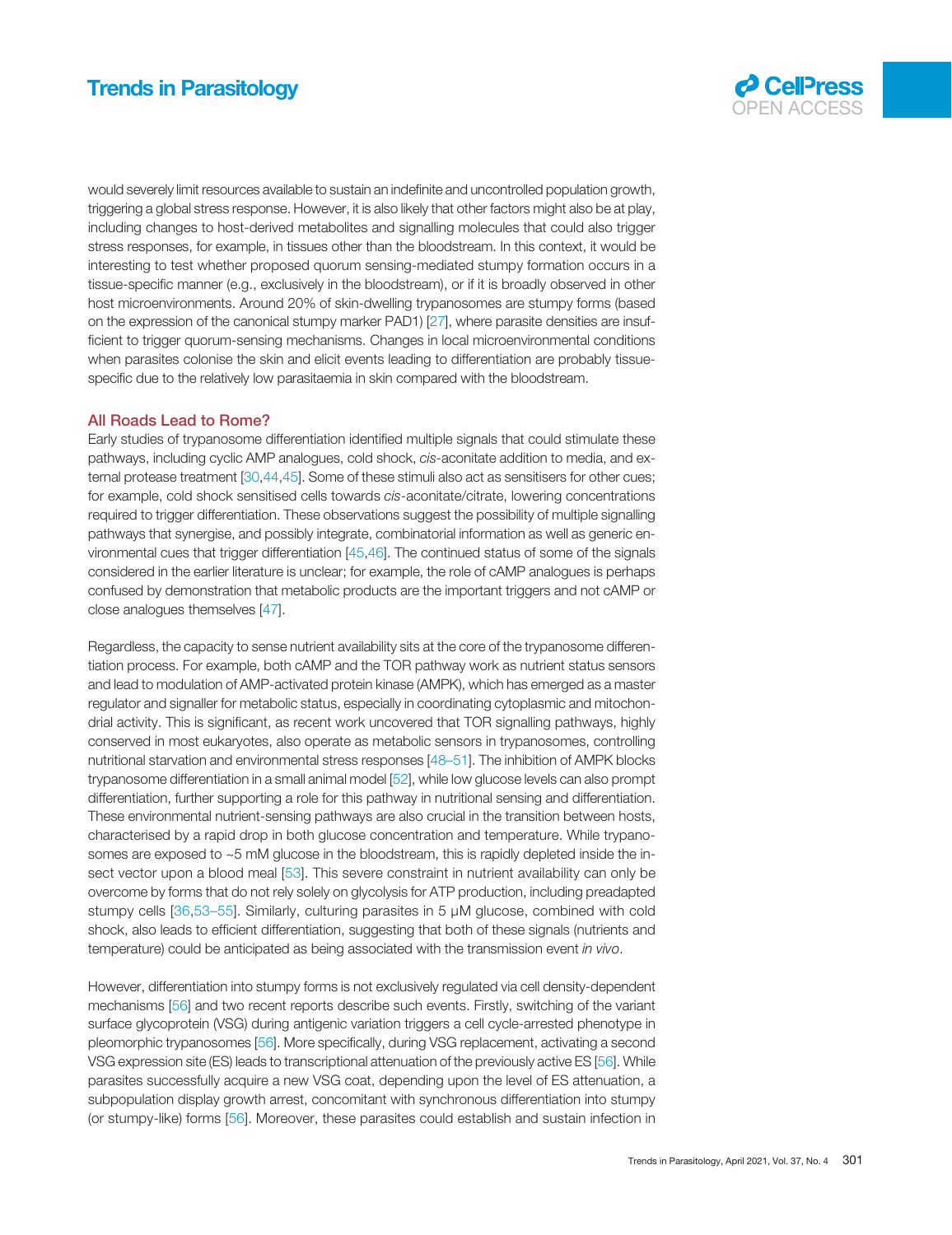

would severely limit resources available to sustain an indefinite and uncontrolled population growth, triggering a global stress response. However, it is also likely that other factors might also be at play, including changes to host-derived metabolites and signalling molecules that could also trigger stress responses, for example, in tissues other than the bloodstream. In this context, it would be interesting to test whether proposed quorum sensing-mediated stumpy formation occurs in a tissue-specific manner (e.g., exclusively in the bloodstream), or if it is broadly observed in other host microenvironments. Around 20% of skin-dwelling trypanosomes are stumpy forms (based on the expression of the canonical stumpy marker PAD1) [\[27](#page-7-0)], where parasite densities are insufficient to trigger quorum-sensing mechanisms. Changes in local microenvironmental conditions when parasites colonise the skin and elicit events leading to differentiation are probably tissuespecific due to the relatively low parasitaemia in skin compared with the bloodstream.

## All Roads Lead to Rome?

Early studies of trypanosome differentiation identified multiple signals that could stimulate these pathways, including cyclic AMP analogues, cold shock, cis-aconitate addition to media, and external protease treatment [[30](#page-7-0),[44,45\]](#page-7-0). Some of these stimuli also act as sensitisers for other cues; for example, cold shock sensitised cells towards cis-aconitate/citrate, lowering concentrations required to trigger differentiation. These observations suggest the possibility of multiple signalling pathways that synergise, and possibly integrate, combinatorial information as well as generic environmental cues that trigger differentiation [[45,46](#page-7-0)]. The continued status of some of the signals considered in the earlier literature is unclear; for example, the role of cAMP analogues is perhaps confused by demonstration that metabolic products are the important triggers and not cAMP or close analogues themselves [[47](#page-7-0)].

Regardless, the capacity to sense nutrient availability sits at the core of the trypanosome differentiation process. For example, both cAMP and the TOR pathway work as nutrient status sensors and lead to modulation of AMP-activated protein kinase (AMPK), which has emerged as a master regulator and signaller for metabolic status, especially in coordinating cytoplasmic and mitochondrial activity. This is significant, as recent work uncovered that TOR signalling pathways, highly conserved in most eukaryotes, also operate as metabolic sensors in trypanosomes, controlling nutritional starvation and environmental stress responses [48–[51\]](#page-7-0). The inhibition of AMPK blocks trypanosome differentiation in a small animal model [[52\]](#page-7-0), while low glucose levels can also prompt differentiation, further supporting a role for this pathway in nutritional sensing and differentiation. These environmental nutrient-sensing pathways are also crucial in the transition between hosts, characterised by a rapid drop in both glucose concentration and temperature. While trypanosomes are exposed to ~5 mM glucose in the bloodstream, this is rapidly depleted inside the insect vector upon a blood meal [[53\]](#page-7-0). This severe constraint in nutrient availability can only be overcome by forms that do not rely solely on glycolysis for ATP production, including preadapted stumpy cells [\[36](#page-7-0),53–[55](#page-7-0)]. Similarly, culturing parasites in 5 μM glucose, combined with cold shock, also leads to efficient differentiation, suggesting that both of these signals (nutrients and temperature) could be anticipated as being associated with the transmission event in vivo.

However, differentiation into stumpy forms is not exclusively regulated via cell density-dependent mechanisms [[56\]](#page-7-0) and two recent reports describe such events. Firstly, switching of the variant surface glycoprotein (VSG) during antigenic variation triggers a cell cycle-arrested phenotype in pleomorphic trypanosomes [\[56](#page-7-0)]. More specifically, during VSG replacement, activating a second VSG expression site (ES) leads to transcriptional attenuation of the previously active ES [[56\]](#page-7-0). While parasites successfully acquire a new VSG coat, depending upon the level of ES attenuation, a subpopulation display growth arrest, concomitant with synchronous differentiation into stumpy (or stumpy-like) forms [[56](#page-7-0)]. Moreover, these parasites could establish and sustain infection in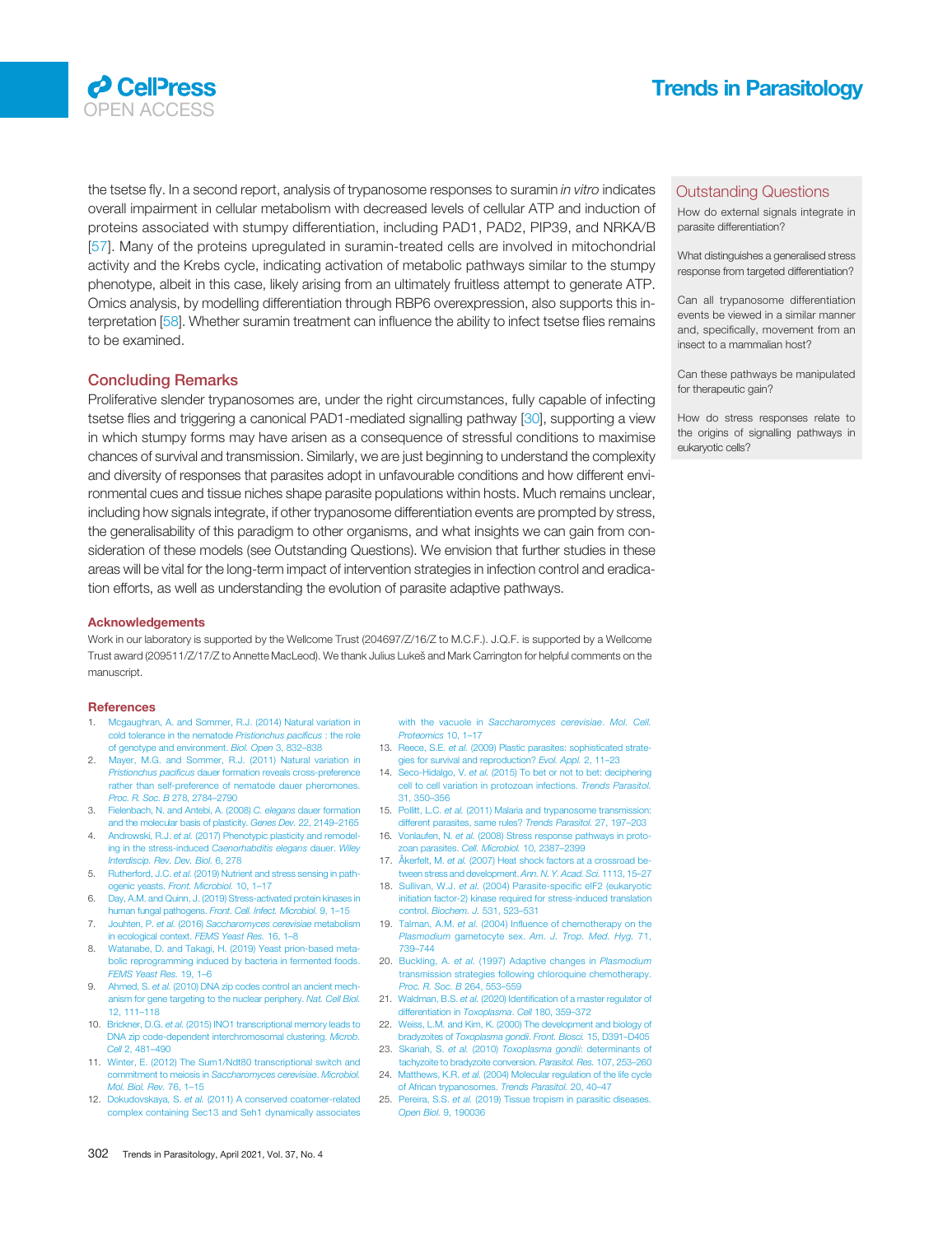<span id="page-6-0"></span>

the tsetse fly. In a second report, analysis of trypanosome responses to suramin in vitro indicates overall impairment in cellular metabolism with decreased levels of cellular ATP and induction of proteins associated with stumpy differentiation, including PAD1, PAD2, PIP39, and NRKA/B [[57](#page-7-0)]. Many of the proteins upregulated in suramin-treated cells are involved in mitochondrial activity and the Krebs cycle, indicating activation of metabolic pathways similar to the stumpy phenotype, albeit in this case, likely arising from an ultimately fruitless attempt to generate ATP. Omics analysis, by modelling differentiation through RBP6 overexpression, also supports this interpretation [\[58](#page-7-0)]. Whether suramin treatment can influence the ability to infect tsetse flies remains to be examined.

## Concluding Remarks

Proliferative slender trypanosomes are, under the right circumstances, fully capable of infecting tsetse flies and triggering a canonical PAD1-mediated signalling pathway [\[30\]](#page-7-0), supporting a view in which stumpy forms may have arisen as a consequence of stressful conditions to maximise chances of survival and transmission. Similarly, we are just beginning to understand the complexity and diversity of responses that parasites adopt in unfavourable conditions and how different environmental cues and tissue niches shape parasite populations within hosts. Much remains unclear, including how signals integrate, if other trypanosome differentiation events are prompted by stress, the generalisability of this paradigm to other organisms, and what insights we can gain from consideration of these models (see Outstanding Questions). We envision that further studies in these areas will be vital for the long-term impact of intervention strategies in infection control and eradication efforts, as well as understanding the evolution of parasite adaptive pathways.

#### Acknowledgements

Work in our laboratory is supported by the Wellcome Trust (204697/Z/16/Z to M.C.F.). J.Q.F. is supported by a Wellcome Trust award (209511/Z/17/Z to Annette MacLeod). We thank Julius Lukeš and Mark Carrington for helpful comments on the manuscript.

#### **References**

- 1. [Mcgaughran, A. and Sommer, R.J. \(2014\) Natural variation in](http://refhub.elsevier.com/S1471-4922(20)30316-0/rf0005) [cold tolerance in the nematode](http://refhub.elsevier.com/S1471-4922(20)30316-0/rf0005) Pristionchus pacificus : the role [of genotype and environment.](http://refhub.elsevier.com/S1471-4922(20)30316-0/rf0005) Biol. Open 3, 832–838
- 2. [Mayer, M.G. and Sommer, R.J. \(2011\) Natural variation in](http://refhub.elsevier.com/S1471-4922(20)30316-0/rf0010) Pristionchus pacificus [dauer formation reveals cross-preference](http://refhub.elsevier.com/S1471-4922(20)30316-0/rf0010) [rather than self-preference of nematode dauer pheromones.](http://refhub.elsevier.com/S1471-4922(20)30316-0/rf0010) [Proc. R. Soc. B](http://refhub.elsevier.com/S1471-4922(20)30316-0/rf0010) 278, 2784–2790
- 3. [Fielenbach, N. and Antebi, A. \(2008\)](http://refhub.elsevier.com/S1471-4922(20)30316-0/rf0015) C. elegans dauer formation [and the molecular basis of plasticity.](http://refhub.elsevier.com/S1471-4922(20)30316-0/rf0015) Genes Dev. 22, 2149–2165
- 4. Androwski, R.J. et al. [\(2017\) Phenotypic plasticity and remodel](http://refhub.elsevier.com/S1471-4922(20)30316-0/rf0020)[ing in the stress-induced](http://refhub.elsevier.com/S1471-4922(20)30316-0/rf0020) Caenorhabditis elegans dauer. Wiley [Interdiscip. Rev. Dev. Biol.](http://refhub.elsevier.com/S1471-4922(20)30316-0/rf0020) 6, 278
- 5. Rutherford, J.C. et al. [\(2019\) Nutrient and stress sensing in path](http://refhub.elsevier.com/S1471-4922(20)30316-0/rf0025)ogenic yeasts. [Front. Microbiol.](http://refhub.elsevier.com/S1471-4922(20)30316-0/rf0025) 10, 1–17
- 6. [Day, A.M. and Quinn, J. \(2019\) Stress-activated protein kinases in](http://refhub.elsevier.com/S1471-4922(20)30316-0/rf0030) human fungal pathogens. [Front. Cell. Infect. Microbiol.](http://refhub.elsevier.com/S1471-4922(20)30316-0/rf0030) 9, 1–15 7. Jouhten, P. et al. (2016) [Saccharomyces cerevisiae](http://refhub.elsevier.com/S1471-4922(20)30316-0/rf0035) metabolism
- [in ecological context.](http://refhub.elsevier.com/S1471-4922(20)30316-0/rf0035) FEMS Yeast Res. 16, 1–8
- 8. [Watanabe, D. and Takagi, H. \(2019\) Yeast prion-based meta](http://refhub.elsevier.com/S1471-4922(20)30316-0/rf0040)[bolic reprogramming induced by bacteria in fermented foods.](http://refhub.elsevier.com/S1471-4922(20)30316-0/rf0040) [FEMS Yeast Res.](http://refhub.elsevier.com/S1471-4922(20)30316-0/rf0040) 19, 1–6
- 9. Ahmed, S. et al. [\(2010\) DNA zip codes control an ancient mech](http://refhub.elsevier.com/S1471-4922(20)30316-0/rf0045)[anism for gene targeting to the nuclear periphery.](http://refhub.elsevier.com/S1471-4922(20)30316-0/rf0045) Nat. Cell Biol. [12, 111](http://refhub.elsevier.com/S1471-4922(20)30316-0/rf0045)–118
- 10. Brickner, D.G. et al. [\(2015\) INO1 transcriptional memory leads to](http://refhub.elsevier.com/S1471-4922(20)30316-0/rf0050) [DNA zip code-dependent interchromosomal clustering.](http://refhub.elsevier.com/S1471-4922(20)30316-0/rf0050) Microb. Cell [2, 481](http://refhub.elsevier.com/S1471-4922(20)30316-0/rf0050)–490
- 11. [Winter, E. \(2012\) The Sum1/Ndt80 transcriptional switch and](http://refhub.elsevier.com/S1471-4922(20)30316-0/rf0055)<br>commitment to mejosis in Saccharomyces cerevisiae. Microbiol. commitment to meiosis in Saccharomyces cerevisi [Mol. Biol. Rev.](http://refhub.elsevier.com/S1471-4922(20)30316-0/rf0055) 76, 1–15
- 12. Dokudovskaya, S. et al. [\(2011\) A conserved coatomer-related](http://refhub.elsevier.com/S1471-4922(20)30316-0/rf0060) [complex containing Sec13 and Seh1 dynamically associates](http://refhub.elsevier.com/S1471-4922(20)30316-0/rf0060)

with the vacuole in [Saccharomyces cerevisiae](http://refhub.elsevier.com/S1471-4922(20)30316-0/rf0060). Mol. Cell. [Proteomics](http://refhub.elsevier.com/S1471-4922(20)30316-0/rf0060) 10, 1–17

- 13. Reece, S.E. et al. [\(2009\) Plastic parasites: sophisticated strate](http://refhub.elsevier.com/S1471-4922(20)30316-0/rf0065)[gies for survival and reproduction?](http://refhub.elsevier.com/S1471-4922(20)30316-0/rf0065) Evol. Appl. 2, 11–23
- 14. Seco-Hidalgo, V. et al. [\(2015\) To bet or not to bet: deciphering](http://refhub.elsevier.com/S1471-4922(20)30316-0/rf0070) [cell to cell variation in](http://refhub.elsevier.com/S1471-4922(20)30316-0/rf0070) protozoan infections. Trends Parasitol. [31, 350](http://refhub.elsevier.com/S1471-4922(20)30316-0/rf0070)–356
- 15. Pollitt, L.C. et al. [\(2011\) Malaria and trypanosome transmission:](http://refhub.elsevier.com/S1471-4922(20)30316-0/rf0075) [different parasites, same rules?](http://refhub.elsevier.com/S1471-4922(20)30316-0/rf0075) Trends Parasitol. 27, 197–203
- 16. Vonlaufen, N. et al. [\(2008\) Stress response pathways in proto](http://refhub.elsevier.com/S1471-4922(20)30316-0/rf0080)[zoan parasites.](http://refhub.elsevier.com/S1471-4922(20)30316-0/rf0080) Cell. Microbiol. 10, 2387–2399
- 17. Åkerfelt, M. et al. [\(2007\) Heat shock factors at a crossroad be](http://refhub.elsevier.com/S1471-4922(20)30316-0/rf0085)[tween stress and development.](http://refhub.elsevier.com/S1471-4922(20)30316-0/rf0085) Ann. N. Y. Acad. Sci. 1113, 15–27
- 18. Sullivan, W.J. et al. [\(2004\) Parasite-speci](http://refhub.elsevier.com/S1471-4922(20)30316-0/rf0090)fic eIF2 (eukaryotic [initiation factor-2\) kinase required for stress-induced translation](http://refhub.elsevier.com/S1471-4922(20)30316-0/rf0090) control. [Biochem. J.](http://refhub.elsevier.com/S1471-4922(20)30316-0/rf0090) 531, 523–531
- 19. Talman, A.M. et al. (2004) Infl[uence of chemotherapy on the](http://refhub.elsevier.com/S1471-4922(20)30316-0/rf0095) Plasmodium gametocyte sex. [Am. J. Trop. Med. Hyg.](http://refhub.elsevier.com/S1471-4922(20)30316-0/rf0095) 71, 739–[744](http://refhub.elsevier.com/S1471-4922(20)30316-0/rf0095)
- 20. Buckling, A. et al. [\(1997\) Adaptive changes in](http://refhub.elsevier.com/S1471-4922(20)30316-0/rf0100) Plasmodium [transmission strategies following chloroquine chemotherapy.](http://refhub.elsevier.com/S1471-4922(20)30316-0/rf0100) [Proc. R. Soc. B](http://refhub.elsevier.com/S1471-4922(20)30316-0/rf0100) 264, 553–559
- 21. Waldman, B.S. et al. (2020) Identifi[cation of a master regulator of](http://refhub.elsevier.com/S1471-4922(20)30316-0/rf0105) [differentiation in](http://refhub.elsevier.com/S1471-4922(20)30316-0/rf0105) Toxoplasma. Cell 180, 359–372
- 22. [Weiss, L.M. and Kim, K. \(2000\) The development and biology of](http://refhub.elsevier.com/S1471-4922(20)30316-0/rf0110) bradyzoites of [Toxoplasma gondii](http://refhub.elsevier.com/S1471-4922(20)30316-0/rf0110). Front. Biosci. 15, D391–D405
- 23. Skariah, S. et al. (2010) [Toxoplasma gondii](http://refhub.elsevier.com/S1471-4922(20)30316-0/rf0115): determinants of [tachyzoite to bradyzoite conversion.](http://refhub.elsevier.com/S1471-4922(20)30316-0/rf0115) Parasitol. Res. 107, 253-260 24. Matthews, K.R. et al. [\(2004\) Molecular regulation of the life cycle](http://refhub.elsevier.com/S1471-4922(20)30316-0/rf0120)
- [of African trypanosomes.](http://refhub.elsevier.com/S1471-4922(20)30316-0/rf0120) Trends Parasitol. 20, 40–47 25. Pereira, S.S. et al. [\(2019\) Tissue tropism in parasitic diseases.](http://refhub.elsevier.com/S1471-4922(20)30316-0/rf0125) [Open Biol.](http://refhub.elsevier.com/S1471-4922(20)30316-0/rf0125) 9, 190036

#### Outstanding Questions

How do external signals integrate in parasite differentiation?

What distinguishes a generalised stress response from targeted differentiation?

Can all trypanosome differentiation events be viewed in a similar manner and, specifically, movement from an insect to a mammalian host?

Can these pathways be manipulated for therapeutic gain?

How do stress responses relate to the origins of signalling pathways in eukaryotic cells?